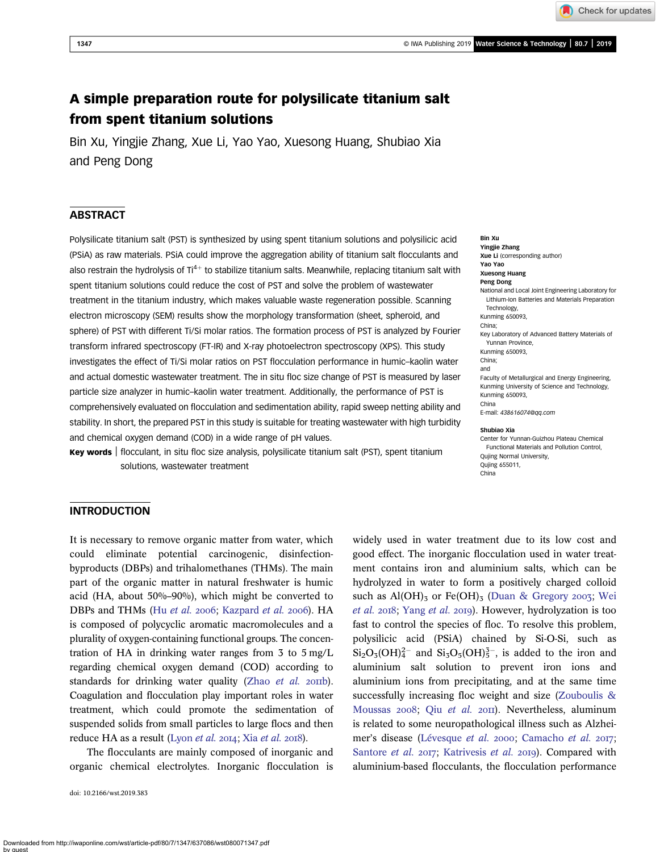Check for updates

# A simple preparation route for polysilicate titanium salt from spent titanium solutions

Bin Xu, Yingjie Zhang, Xue Li, Yao Yao, Xuesong Huang, Shubiao Xia and Peng Dong

## ABSTRACT

Polysilicate titanium salt (PST) is synthesized by using spent titanium solutions and polysilicic acid (PSiA) as raw materials. PSiA could improve the aggregation ability of titanium salt flocculants and also restrain the hydrolysis of  $Ti^{4+}$  to stabilize titanium salts. Meanwhile, replacing titanium salt with spent titanium solutions could reduce the cost of PST and solve the problem of wastewater treatment in the titanium industry, which makes valuable waste regeneration possible. Scanning electron microscopy (SEM) results show the morphology transformation (sheet, spheroid, and sphere) of PST with different Ti/Si molar ratios. The formation process of PST is analyzed by Fourier transform infrared spectroscopy (FT-IR) and X-ray photoelectron spectroscopy (XPS). This study investigates the effect of Ti/Si molar ratios on PST flocculation performance in humic–kaolin water and actual domestic wastewater treatment. The in situ floc size change of PST is measured by laser particle size analyzer in humic–kaolin water treatment. Additionally, the performance of PST is comprehensively evaluated on flocculation and sedimentation ability, rapid sweep netting ability and stability. In short, the prepared PST in this study is suitable for treating wastewater with high turbidity and chemical oxygen demand (COD) in a wide range of pH values.

Key words | flocculant, in situ floc size analysis, polysilicate titanium salt (PST), spent titanium solutions, wastewater treatment

Bin Xu Yingjie Zhang Xue Li (corresponding author) Yao Yao Xuesong Huang Peng Dong National and Local Joint Engineering Laboratory for Lithium-Ion Batteries and Materials Preparation Technology, Kunming 650093, China; Key Laboratory of Advanced Battery Materials of Yunnan Province, Kunming 650093, China; and Faculty of Metallurgical and Energy Engineering, Kunming University of Science and Technology, Kunming 650093, China E-mail: 438616074@qq.com

#### Shubiao Xia

Center for Yunnan-Guizhou Plateau Chemical Functional Materials and Pollution Control, Qujing Normal University, Qujing 655011, China

### INTRODUCTION

It is necessary to remove organic matter from water, which could eliminate potential carcinogenic, disinfectionbyproducts (DBPs) and trihalomethanes (THMs). The main part of the organic matter in natural freshwater is humic acid (HA, about 50%–90%), which might be converted to DBPs and THMs (Hu [et al.](#page-8-0) 2006; [Kazpard](#page-8-0) et al. 2006). HA is composed of polycyclic aromatic macromolecules and a plurality of oxygen-containing functional groups. The concentration of HA in drinking water ranges from 3 to 5 mg/L regarding chemical oxygen demand (COD) according to standards for drinking water quality (Zhao [et al.](#page-9-0) 2011b). Coagulation and flocculation play important roles in water treatment, which could promote the sedimentation of suspended solids from small particles to large flocs and then reduce HA as a result [\(Lyon](#page-8-0) [et al.](#page-9-0) 2014; Xia et al. 2018).

The flocculants are mainly composed of inorganic and organic chemical electrolytes. Inorganic flocculation is

doi: 10.2166/wst.2019.383

widely used in water treatment due to its low cost and good effect. The inorganic flocculation used in water treatment contains iron and aluminium salts, which can be hydrolyzed in water to form a positively charged colloid such as  $Al(OH)_5$  or Fe(OH)<sub>3</sub> ([Duan & Gregory](#page-8-0) 2003; [Wei](#page-9-0) [et al.](#page-9-0) 2018; [Yang](#page-9-0) et al. 2019). However, hydrolyzation is too fast to control the species of floc. To resolve this problem, polysilicic acid (PSiA) chained by Si-O-Si, such as  $\rm{Si}_2O_3(OH)_4^{2-}$  and  $\rm{Si}_3O_5(OH)_5^{3-}$ , is added to the iron and aluminium salt solution to prevent iron ions and aluminium ions from precipitating, and at the same time successfully increasing floc weight and size ([Zouboulis &](#page-9-0) [Moussas](#page-9-0) 2008; Qiu [et al.](#page-9-0) 2011). Nevertheless, aluminum is related to some neuropathological illness such as Alzhei-mer's disease [\(Lévesque](#page-8-0) et al. 2000; [Camacho](#page-8-0) et al. 2017; [Santore](#page-9-0) et al. 2017; [Katrivesis](#page-8-0) et al. 2019). Compared with aluminium-based flocculants, the flocculation performance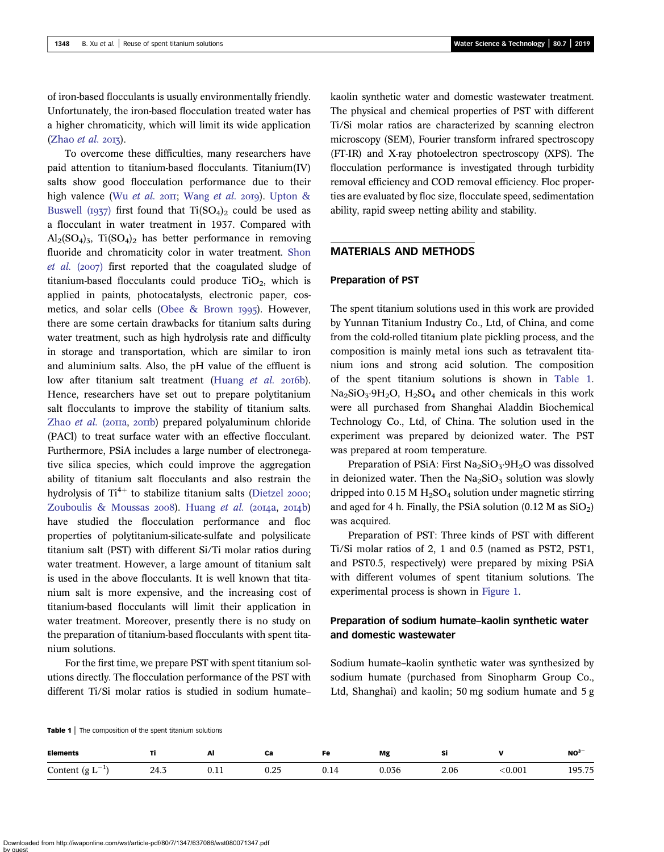of iron-based flocculants is usually environmentally friendly. Unfortunately, the iron-based flocculation treated water has a higher chromaticity, which will limit its wide application  $(Zhao et al. 2013).$  $(Zhao et al. 2013).$  $(Zhao et al. 2013).$ 

To overcome these difficulties, many researchers have paid attention to titanium-based flocculants. Titanium(IV) salts show good flocculation performance due to their high valence (Wu [et al.](#page-9-0) 2011; [Wang](#page-9-0) et al. 2019). [Upton &](#page-9-0) [Buswell \(](#page-9-0)1937) first found that  $Ti(SO<sub>4</sub>)<sub>2</sub>$  could be used as a flocculant in water treatment in 1937. Compared with  $\text{Al}_2(\text{SO}_4)_3$ , Ti $(\text{SO}_4)_2$  has better performance in removing fluoride and chromaticity color in water treatment. [Shon](#page-9-0) [et al.](#page-9-0) (2007) first reported that the coagulated sludge of titanium-based flocculants could produce  $TiO<sub>2</sub>$ , which is applied in paints, photocatalysts, electronic paper, cos-metics, and solar cells [\(Obee & Brown](#page-9-0)  $1995$ ). However, there are some certain drawbacks for titanium salts during water treatment, such as high hydrolysis rate and difficulty in storage and transportation, which are similar to iron and aluminium salts. Also, the pH value of the effluent is low after titanium salt treatment [\(Huang](#page-8-0) et al. 2016b). Hence, researchers have set out to prepare polytitanium salt flocculants to improve the stability of titanium salts. [Zhao](#page-9-0) *et al.* ( $2$ <sup>O</sup>Ha,  $2$ <sup>OHb</sup>) prepared polyaluminum chloride (PACl) to treat surface water with an effective flocculant. Furthermore, PSiA includes a large number of electronegative silica species, which could improve the aggregation ability of titanium salt flocculants and also restrain the hydrolysis of  $Ti^{4+}$  to stabilize titanium salts [\(Dietzel](#page-8-0) 2000; [Zouboulis & Moussas](#page-9-0) 2008). [Huang](#page-8-0) et al. (2014a, 2014b) have studied the flocculation performance and floc properties of polytitanium-silicate-sulfate and polysilicate titanium salt (PST) with different Si/Ti molar ratios during water treatment. However, a large amount of titanium salt is used in the above flocculants. It is well known that titanium salt is more expensive, and the increasing cost of titanium-based flocculants will limit their application in water treatment. Moreover, presently there is no study on the preparation of titanium-based flocculants with spent titanium solutions.

For the first time, we prepare PST with spent titanium solutions directly. The flocculation performance of the PST with different Ti/Si molar ratios is studied in sodium humate– kaolin synthetic water and domestic wastewater treatment. The physical and chemical properties of PST with different Ti/Si molar ratios are characterized by scanning electron microscopy (SEM), Fourier transform infrared spectroscopy (FT-IR) and X-ray photoelectron spectroscopy (XPS). The flocculation performance is investigated through turbidity removal efficiency and COD removal efficiency. Floc properties are evaluated by floc size, flocculate speed, sedimentation ability, rapid sweep netting ability and stability.

## MATERIALS AND METHODS

#### Preparation of PST

The spent titanium solutions used in this work are provided by Yunnan Titanium Industry Co., Ltd, of China, and come from the cold-rolled titanium plate pickling process, and the composition is mainly metal ions such as tetravalent titanium ions and strong acid solution. The composition of the spent titanium solutions is shown in Table 1.  $Na<sub>2</sub>SiO<sub>3</sub>·9H<sub>2</sub>O$ ,  $H<sub>2</sub>SO<sub>4</sub>$  and other chemicals in this work were all purchased from Shanghai Aladdin Biochemical Technology Co., Ltd, of China. The solution used in the experiment was prepared by deionized water. The PST was prepared at room temperature.

Preparation of PSiA: First  $Na<sub>2</sub>SiO<sub>3</sub>·9H<sub>2</sub>O$  was dissolved in deionized water. Then the  $Na<sub>2</sub>SiO<sub>3</sub>$  solution was slowly dripped into  $0.15 M H_2SO_4$  solution under magnetic stirring and aged for 4 h. Finally, the PSiA solution  $(0.12 \text{ M as SiO}_2)$ was acquired.

Preparation of PST: Three kinds of PST with different Ti/Si molar ratios of 2, 1 and 0.5 (named as PST2, PST1, and PST0.5, respectively) were prepared by mixing PSiA with different volumes of spent titanium solutions. The experimental process is shown in [Figure 1.](#page-2-0)

## Preparation of sodium humate–kaolin synthetic water and domestic wastewater

Sodium humate–kaolin synthetic water was synthesized by sodium humate (purchased from Sinopharm Group Co., Ltd, Shanghai) and kaolin; 50 mg sodium humate and 5 g

Table 1 | The composition of the spent titanium solutions

| <b>Elements</b>  |      | А<br>-     | Ca                | Fe             | Mg    |           |       | NO <sup>3</sup> |
|------------------|------|------------|-------------------|----------------|-------|-----------|-------|-----------------|
| Content $(g L-)$ | 24.3 | v. 11<br>. | ሰ ሳደ<br>∪.∠J<br>. | ıΔ<br>∪.⊥<br>. | 0.036 | 2.06<br>. | 0.001 | 195.75          |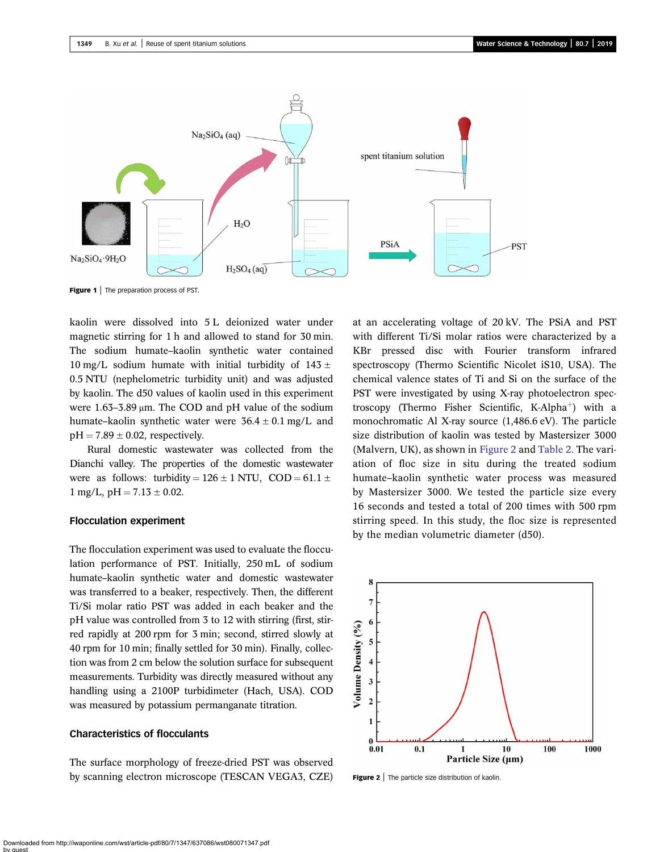<span id="page-2-0"></span>

Figure 1 | The preparation process of PST.

kaolin were dissolved into 5 L deionized water under magnetic stirring for 1 h and allowed to stand for 30 min. The sodium humate–kaolin synthetic water contained 10 mg/L sodium humate with initial turbidity of  $143 \pm$ 0.5 NTU (nephelometric turbidity unit) and was adjusted by kaolin. The d50 values of kaolin used in this experiment were 1.63–3.89 μm. The COD and pH value of the sodium humate–kaolin synthetic water were  $36.4 \pm 0.1$  mg/L and  $pH = 7.89 \pm 0.02$ , respectively.

Rural domestic wastewater was collected from the Dianchi valley. The properties of the domestic wastewater were as follows: turbidity =  $126 \pm 1$  NTU, COD =  $61.1 \pm$ 1 mg/L,  $pH = 7.13 \pm 0.02$ .

#### Flocculation experiment

The flocculation experiment was used to evaluate the flocculation performance of PST. Initially, 250 mL of sodium humate–kaolin synthetic water and domestic wastewater was transferred to a beaker, respectively. Then, the different Ti/Si molar ratio PST was added in each beaker and the pH value was controlled from 3 to 12 with stirring (first, stirred rapidly at 200 rpm for 3 min; second, stirred slowly at 40 rpm for 10 min; finally settled for 30 min). Finally, collection was from 2 cm below the solution surface for subsequent measurements. Turbidity was directly measured without any handling using a 2100P turbidimeter (Hach, USA). COD was measured by potassium permanganate titration.

## Characteristics of flocculants

The surface morphology of freeze-dried PST was observed by scanning electron microscope (TESCAN VEGA3, CZE) at an accelerating voltage of 20 kV. The PSiA and PST with different Ti/Si molar ratios were characterized by a KBr pressed disc with Fourier transform infrared spectroscopy (Thermo Scientific Nicolet iS10, USA). The chemical valence states of Ti and Si on the surface of the PST were investigated by using X-ray photoelectron spectroscopy (Thermo Fisher Scientific, K-Alpha<sup>+</sup>) with a monochromatic Al X-ray source (1,486.6 eV). The particle size distribution of kaolin was tested by Mastersizer 3000 (Malvern, UK), as shown in Figure 2 and [Table 2.](#page-3-0) The variation of floc size in situ during the treated sodium humate–kaolin synthetic water process was measured by Mastersizer 3000. We tested the particle size every 16 seconds and tested a total of 200 times with 500 rpm stirring speed. In this study, the floc size is represented by the median volumetric diameter (d50).



Figure 2 | The particle size distribution of kaolin.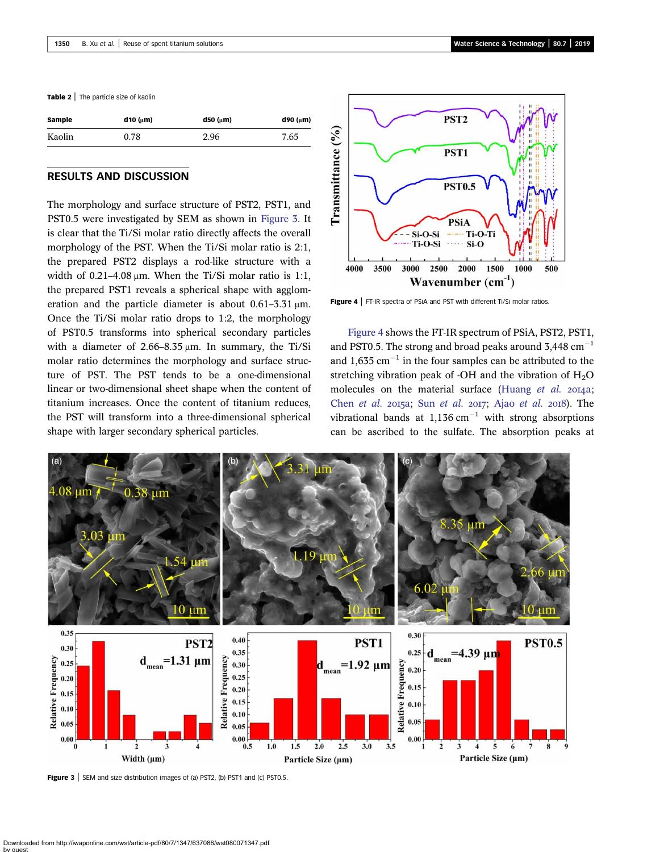<span id="page-3-0"></span>Table 2 | The particle size of kaolin

| Sample | $d10 \, (\mu m)$ | $d50 \, (\mu m)$ | $d90 \, (\mu m)$ |
|--------|------------------|------------------|------------------|
| Kaolin | 0.78             | 2.96             | 7.65             |

## RESULTS AND DISCUSSION

The morphology and surface structure of PST2, PST1, and PST0.5 were investigated by SEM as shown in Figure 3. It is clear that the Ti/Si molar ratio directly affects the overall morphology of the PST. When the Ti/Si molar ratio is 2:1, the prepared PST2 displays a rod-like structure with a width of 0.21–4.08 μm. When the Ti/Si molar ratio is 1:1, the prepared PST1 reveals a spherical shape with agglomeration and the particle diameter is about  $0.61-3.31 \,\text{\mu m}$ . Once the Ti/Si molar ratio drops to 1:2, the morphology of PST0.5 transforms into spherical secondary particles with a diameter of  $2.66-8.35 \mu m$ . In summary, the Ti/Si molar ratio determines the morphology and surface structure of PST. The PST tends to be a one-dimensional linear or two-dimensional sheet shape when the content of titanium increases. Once the content of titanium reduces, the PST will transform into a three-dimensional spherical shape with larger secondary spherical particles.



Figure 4 | FT-IR spectra of PSiA and PST with different Ti/Si molar ratios.

Figure 4 shows the FT-IR spectrum of PSiA, PST2, PST1, and PST0.5. The strong and broad peaks around 3,448  $cm^{-1}$ and  $1,635$  cm<sup>-1</sup> in the four samples can be attributed to the stretching vibration peak of -OH and the vibration of  $H_2O$ molecules on the material surface [\(Huang](#page-8-0) et al.  $20I4a$ ; Chen [et al.](#page-8-0) 2015a; Sun et al. 2017; Ajao et al. 2018). The vibrational bands at  $1,136$  cm<sup>-1</sup> with strong absorptions can be ascribed to the sulfate. The absorption peaks at



**Figure 3** SEM and size distribution images of (a) PST2, (b) PST1 and (c) PST0.5.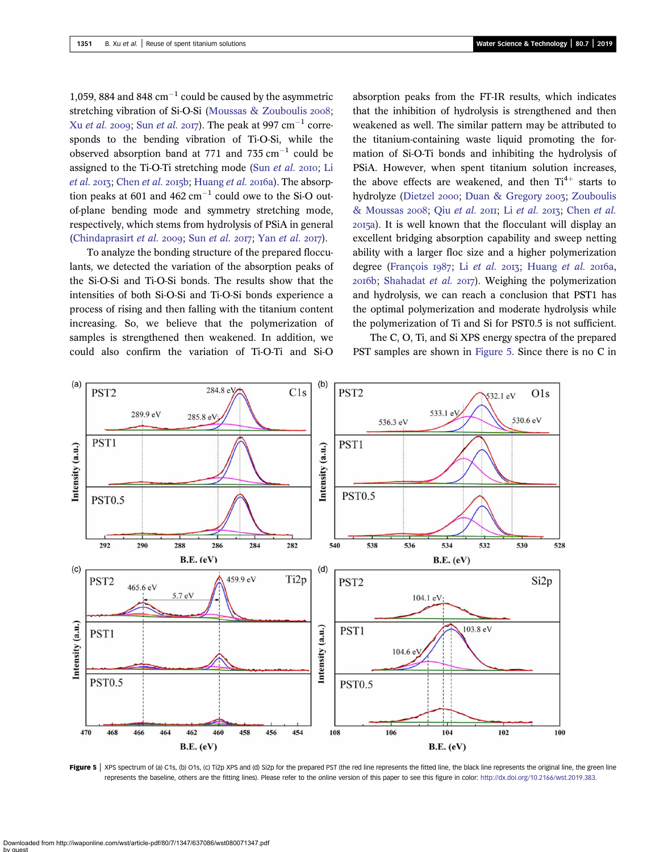<span id="page-4-0"></span>1,059, 884 and 848  $\text{cm}^{-1}$  could be caused by the asymmetric stretching vibration of Si-O-Si (Moussas  $&$  Zouboulis 2008; Xu *[et al.](#page-9-0)* 2009; Sun *et al.* 2017). The peak at 997 cm<sup>-1</sup> corresponds to the bending vibration of Ti-O-Si, while the observed absorption band at 771 and 735  $cm^{-1}$  could be assigned to the Ti-O-Ti stretching mode (Sun [et al.](#page-9-0) 2010; [Li](#page-8-0) [et al.](#page-8-0) 2013; [Chen](#page-8-0) et al. 2015b; [Huang](#page-8-0) et al. 2016a). The absorption peaks at 601 and 462  $\text{cm}^{-1}$  could owe to the Si-O outof-plane bending mode and symmetry stretching mode, respectively, which stems from hydrolysis of PSiA in general [\(Chindaprasirt](#page-8-0) [et al.](#page-9-0) 2009; Sun et al. 2017; Yan et al. 2017).

To analyze the bonding structure of the prepared flocculants, we detected the variation of the absorption peaks of the Si-O-Si and Ti-O-Si bonds. The results show that the intensities of both Si-O-Si and Ti-O-Si bonds experience a process of rising and then falling with the titanium content increasing. So, we believe that the polymerization of samples is strengthened then weakened. In addition, we could also confirm the variation of Ti-O-Ti and Si-O

absorption peaks from the FT-IR results, which indicates that the inhibition of hydrolysis is strengthened and then weakened as well. The similar pattern may be attributed to the titanium-containing waste liquid promoting the formation of Si-O-Ti bonds and inhibiting the hydrolysis of PSiA. However, when spent titanium solution increases, the above effects are weakened, and then  $Ti^{4+}$  starts to hydrolyze [\(Dietzel](#page-8-0) 2000; [Duan & Gregory](#page-8-0) 2003; [Zouboulis](#page-9-0) [& Moussas](#page-9-0) 2008; Qiu [et al.](#page-8-0) 2011; Li et al. 2013; [Chen](#page-8-0) et al. a). It is well known that the flocculant will display an excellent bridging absorption capability and sweep netting ability with a larger floc size and a higher polymerization degree [\(François](#page-8-0) 1987; Li [et al.](#page-8-0) 2013; [Huang](#page-8-0) et al. 2016a,  $20I6b$ ; [Shahadat](#page-9-0) *et al.*  $20I7$ ). Weighing the polymerization and hydrolysis, we can reach a conclusion that PST1 has the optimal polymerization and moderate hydrolysis while the polymerization of Ti and Si for PST0.5 is not sufficient.

The C, O, Ti, and Si XPS energy spectra of the prepared PST samples are shown in Figure 5. Since there is no C in



Figure 5 | XPS spectrum of (a) C1s, (b) O1s, (c) Ti2p XPS and (d) Si2p for the prepared PST (the red line represents the fitted line, the black line represents the original line, the green line represents the baseline, others are the fitting lines). Please refer to the online version of this paper to see this figure in color: [http://dx.doi.org/10.2166/wst.2019.383.](http://dx.doi.org/10.2166/wst.2019.383)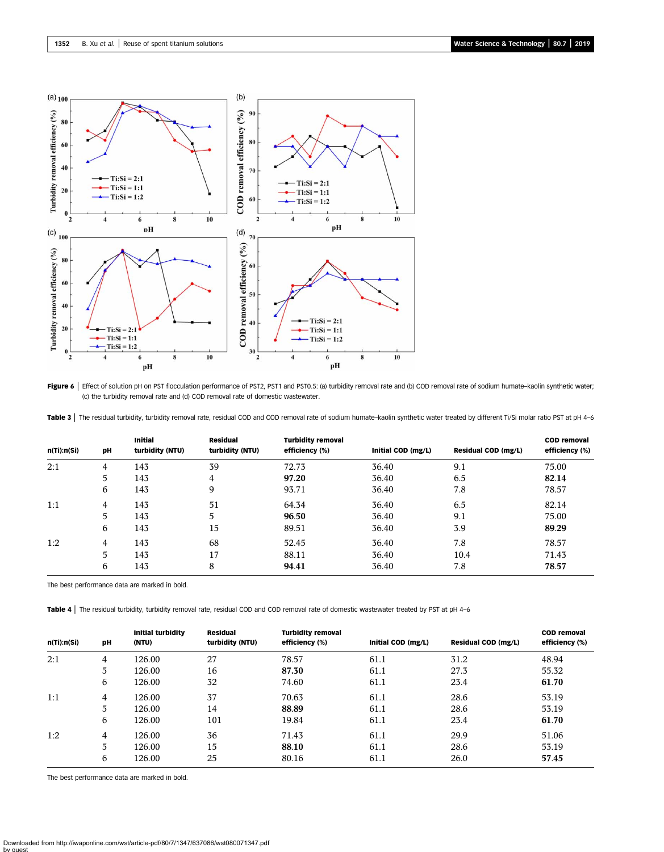<span id="page-5-0"></span>

Figure 6 | Effect of solution pH on PST flocculation performance of PST2, PST1 and PST0.5: (a) turbidity removal rate and (b) COD removal rate of sodium humate–kaolin synthetic water; (c) the turbidity removal rate and (d) COD removal rate of domestic wastewater.

Table 3 | The residual turbidity, turbidity removal rate, residual COD and COD removal rate of sodium humate-kaolin synthetic water treated by different Ti/Si molar ratio PST at pH 4-6

| n(Ti):n(Si) | pH | <b>Initial</b><br>turbidity (NTU) | Residual<br>turbidity (NTU) | <b>Turbidity removal</b><br>efficiency (%) | Initial COD (mg/L) | Residual COD (mg/L) | <b>COD removal</b><br>efficiency (%) |
|-------------|----|-----------------------------------|-----------------------------|--------------------------------------------|--------------------|---------------------|--------------------------------------|
| 2:1         | 4  | 143                               | 39                          | 72.73                                      | 36.40              | 9.1                 | 75.00                                |
|             | 5  | 143                               | 4                           | 97.20                                      | 36.40              | 6.5                 | 82.14                                |
|             | 6  | 143                               | 9                           | 93.71                                      | 36.40              | 7.8                 | 78.57                                |
| 1:1         | 4  | 143                               | 51                          | 64.34                                      | 36.40              | 6.5                 | 82.14                                |
|             | 5  | 143                               | 5                           | 96.50                                      | 36.40              | 9.1                 | 75.00                                |
|             | 6  | 143                               | 15                          | 89.51                                      | 36.40              | 3.9                 | 89.29                                |
| 1:2         | 4  | 143                               | 68                          | 52.45                                      | 36.40              | 7.8                 | 78.57                                |
|             | 5  | 143                               | 17                          | 88.11                                      | 36.40              | 10.4                | 71.43                                |
|             | 6  | 143                               | 8                           | 94.41                                      | 36.40              | 7.8                 | 78.57                                |

The best performance data are marked in bold.

Table 4 | The residual turbidity, turbidity removal rate, residual COD and COD removal rate of domestic wastewater treated by PST at pH 4-6

| n(Ti):n(Si) | pH | <b>Initial turbidity</b><br>(NTU) | Residual<br>turbidity (NTU) | <b>Turbidity removal</b><br>efficiency (%) | Initial COD (mg/L) | Residual COD (mg/L) | <b>COD removal</b><br>efficiency (%) |
|-------------|----|-----------------------------------|-----------------------------|--------------------------------------------|--------------------|---------------------|--------------------------------------|
| 2:1         | 4  | 126.00                            | 27                          | 78.57                                      | 61.1               | 31.2                | 48.94                                |
|             | 5  | 126.00                            | 16                          | 87.30                                      | 61.1               | 27.3                | 55.32                                |
|             | 6  | 126.00                            | 32                          | 74.60                                      | 61.1               | 23.4                | 61.70                                |
| 1:1         | 4  | 126.00                            | 37                          | 70.63                                      | 61.1               | 28.6                | 53.19                                |
|             | 5  | 126.00                            | 14                          | 88.89                                      | 61.1               | 28.6                | 53.19                                |
|             | 6  | 126.00                            | 101                         | 19.84                                      | 61.1               | 23.4                | 61.70                                |
| 1:2         | 4  | 126.00                            | 36                          | 71.43                                      | 61.1               | 29.9                | 51.06                                |
|             | 5  | 126.00                            | 15                          | 88.10                                      | 61.1               | 28.6                | 53.19                                |
|             | 6  | 126.00                            | 25                          | 80.16                                      | 61.1               | 26.0                | 57.45                                |

The best performance data are marked in bold.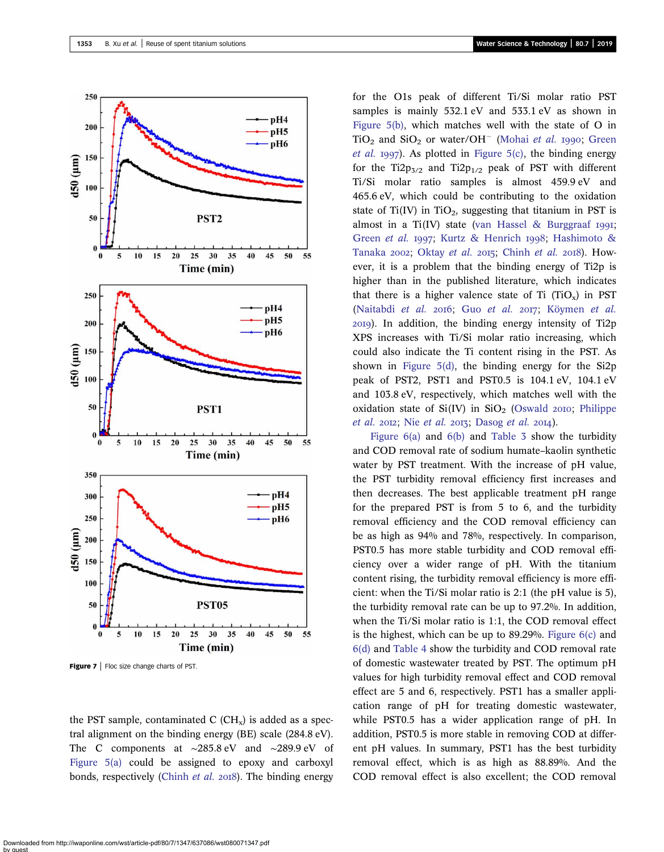<span id="page-6-0"></span>

Figure 7 | Floc size change charts of PST.

the PST sample, contaminated  $C$  (CH<sub>x</sub>) is added as a spectral alignment on the binding energy (BE) scale (284.8 eV). The C components at ∼285.8 eV and ∼289.9 eV of [Figure 5\(a\)](#page-4-0) could be assigned to epoxy and carboxyl bonds, respectively [\(Chinh](#page-8-0) et al. 2018). The binding energy for the O1s peak of different Ti/Si molar ratio PST samples is mainly 532.1 eV and 533.1 eV as shown in [Figure 5\(b\),](#page-4-0) which matches well with the state of O in  $\rm TiO_2$  and  $\rm SiO_2$  or water/ $\rm OH^-$  ([Mohai](#page-9-0) *et al.* 1990; [Green](#page-8-0) *[et al.](#page-8-0)* 1997). As plotted in [Figure 5\(c\),](#page-4-0) the binding energy for the Ti2p<sub>3/2</sub> and Ti2p<sub>1/2</sub> peak of PST with different Ti/Si molar ratio samples is almost 459.9 eV and 465.6 eV, which could be contributing to the oxidation state of  $Ti(IV)$  in  $TiO<sub>2</sub>$ , suggesting that titanium in PST is almost in a Ti(IV) state [\(van Hassel & Burggraaf](#page-9-0) 1991; [Green](#page-8-0) et al. 1997; [Kurtz & Henrich](#page-8-0) 1998; [Hashimoto &](#page-8-0) [Tanaka](#page-8-0) 2002; [Oktay](#page-9-0) et al. 2015; [Chinh](#page-8-0) et al. 2018). However, it is a problem that the binding energy of Ti2p is higher than in the published literature, which indicates that there is a higher valence state of Ti  $(TiO<sub>x</sub>)$  in PST [\(Naitabdi](#page-9-0) [et al.](#page-8-0) 2016; Guo et al. 2017; [Köymen](#page-8-0) et al. ). In addition, the binding energy intensity of Ti2p XPS increases with Ti/Si molar ratio increasing, which could also indicate the Ti content rising in the PST. As shown in [Figure 5\(d\)](#page-4-0), the binding energy for the Si2p peak of PST2, PST1 and PST0.5 is 104.1 eV, 104.1 eV and 103.8 eV, respectively, which matches well with the oxidation state of  $Si(IV)$  in  $SiO<sub>2</sub>$  [\(Oswald](#page-9-0) 2010; [Philippe](#page-9-0) [et al.](#page-9-0) 2012; Nie et al. 2013; [Dasog](#page-8-0) et al. 2014).

Figure  $6(a)$  and  $6(b)$  and [Table 3](#page-5-0) show the turbidity and COD removal rate of sodium humate–kaolin synthetic water by PST treatment. With the increase of pH value, the PST turbidity removal efficiency first increases and then decreases. The best applicable treatment pH range for the prepared PST is from 5 to 6, and the turbidity removal efficiency and the COD removal efficiency can be as high as 94% and 78%, respectively. In comparison, PST0.5 has more stable turbidity and COD removal efficiency over a wider range of pH. With the titanium content rising, the turbidity removal efficiency is more efficient: when the Ti/Si molar ratio is 2:1 (the pH value is 5), the turbidity removal rate can be up to 97.2%. In addition, when the Ti/Si molar ratio is 1:1, the COD removal effect is the highest, which can be up to 89.29%. Figure  $6(c)$  and [6\(d\)](#page-5-0) and [Table 4](#page-5-0) show the turbidity and COD removal rate of domestic wastewater treated by PST. The optimum pH values for high turbidity removal effect and COD removal effect are 5 and 6, respectively. PST1 has a smaller application range of pH for treating domestic wastewater, while PST0.5 has a wider application range of pH. In addition, PST0.5 is more stable in removing COD at different pH values. In summary, PST1 has the best turbidity removal effect, which is as high as 88.89%. And the COD removal effect is also excellent; the COD removal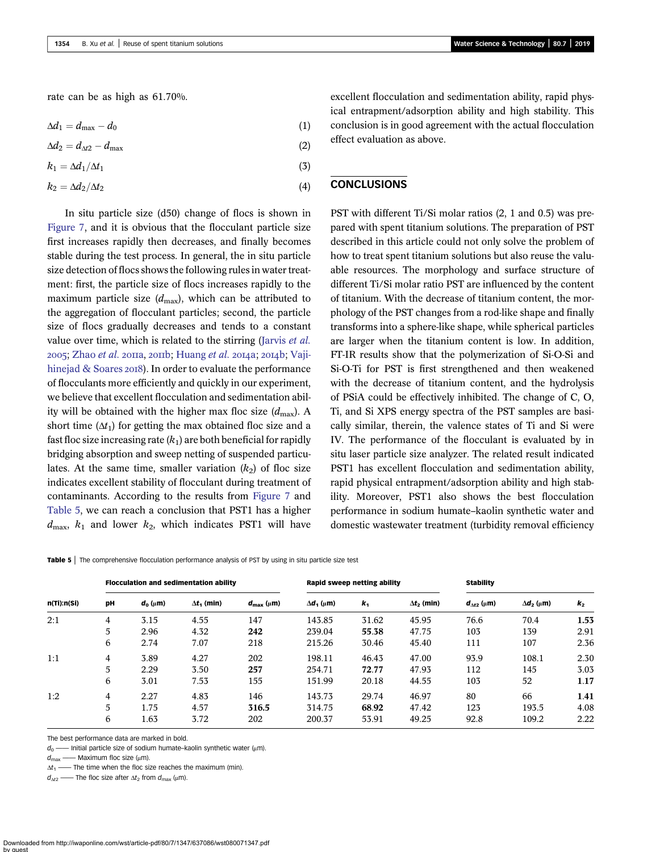rate can be as high as 61.70%.

$$
\Delta d_1 = d_{\text{max}} - d_0 \tag{1}
$$

$$
\Delta d_2 = d_{\Delta t2} - d_{\text{max}} \tag{2}
$$

$$
k_1 = \Delta d_1 / \Delta t_1 \tag{3}
$$

$$
k_2 = \Delta d_2 / \Delta t_2 \tag{4}
$$

In situ particle size (d50) change of flocs is shown in [Figure 7,](#page-6-0) and it is obvious that the flocculant particle size first increases rapidly then decreases, and finally becomes stable during the test process. In general, the in situ particle size detection of flocs shows the following rules in water treatment: first, the particle size of flocs increases rapidly to the maximum particle size  $(d_{\text{max}})$ , which can be attributed to the aggregation of flocculant particles; second, the particle size of flocs gradually decreases and tends to a constant value over time, which is related to the stirring [\(Jarvis](#page-8-0) *et al.*)  $2005$ ; [Zhao](#page-9-0) et al.  $20IIa$ ,  $20IIb$ ; [Huang](#page-8-0) et al.  $20I4a$ ;  $20I4b$ ; [Vaji](#page-9-0)hinejad  $&$  Soares 2018). In order to evaluate the performance of flocculants more efficiently and quickly in our experiment, we believe that excellent flocculation and sedimentation ability will be obtained with the higher max floc size  $(d_{\text{max}})$ . A short time  $(\Delta t_1)$  for getting the max obtained floc size and a fast floc size increasing rate  $(k_1)$  are both beneficial for rapidly bridging absorption and sweep netting of suspended particulates. At the same time, smaller variation  $(k_2)$  of floc size indicates excellent stability of flocculant during treatment of contaminants. According to the results from [Figure 7](#page-6-0) and Table 5, we can reach a conclusion that PST1 has a higher  $d_{\text{max}}$ ,  $k_1$  and lower  $k_2$ , which indicates PST1 will have excellent flocculation and sedimentation ability, rapid physical entrapment/adsorption ability and high stability. This conclusion is in good agreement with the actual flocculation effect evaluation as above.

## **CONCLUSIONS**

PST with different Ti/Si molar ratios (2, 1 and 0.5) was prepared with spent titanium solutions. The preparation of PST described in this article could not only solve the problem of how to treat spent titanium solutions but also reuse the valuable resources. The morphology and surface structure of different Ti/Si molar ratio PST are influenced by the content of titanium. With the decrease of titanium content, the morphology of the PST changes from a rod-like shape and finally transforms into a sphere-like shape, while spherical particles are larger when the titanium content is low. In addition, FT-IR results show that the polymerization of Si-O-Si and Si-O-Ti for PST is first strengthened and then weakened with the decrease of titanium content, and the hydrolysis of PSiA could be effectively inhibited. The change of C, O, Ti, and Si XPS energy spectra of the PST samples are basically similar, therein, the valence states of Ti and Si were IV. The performance of the flocculant is evaluated by in situ laser particle size analyzer. The related result indicated PST1 has excellent flocculation and sedimentation ability, rapid physical entrapment/adsorption ability and high stability. Moreover, PST1 also shows the best flocculation performance in sodium humate–kaolin synthetic water and domestic wastewater treatment (turbidity removal efficiency

| n(Ti):n(Si) | <b>Flocculation and sedimentation ability</b> |                  |                    |                             | Rapid sweep netting ability |                |                    | <b>Stability</b>      |                         |         |
|-------------|-----------------------------------------------|------------------|--------------------|-----------------------------|-----------------------------|----------------|--------------------|-----------------------|-------------------------|---------|
|             | pH                                            | $d_0$ ( $\mu$ m) | $\Delta t_1$ (min) | $d_{\text{max}}$ ( $\mu$ m) | $\Delta d_1$ ( $\mu$ m)     | $\mathbf{k}_1$ | $\Delta t_2$ (min) | $d_{\text{A}t2}$ (µm) | $\Delta d_2$ ( $\mu$ m) | $k_{2}$ |
| 2:1         | 4                                             | 3.15             | 4.55               | 147                         | 143.85                      | 31.62          | 45.95              | 76.6                  | 70.4                    | 1.53    |
|             | 5                                             | 2.96             | 4.32               | 242                         | 239.04                      | 55.38          | 47.75              | 103                   | 139                     | 2.91    |
|             | 6                                             | 2.74             | 7.07               | 218                         | 215.26                      | 30.46          | 45.40              | 111                   | 107                     | 2.36    |
| 1:1         | 4                                             | 3.89             | 4.27               | 202                         | 198.11                      | 46.43          | 47.00              | 93.9                  | 108.1                   | 2.30    |
|             | 5                                             | 2.29             | 3.50               | 257                         | 254.71                      | 72.77          | 47.93              | 112                   | 145                     | 3.03    |
|             | 6                                             | 3.01             | 7.53               | 155                         | 151.99                      | 20.18          | 44.55              | 103                   | 52                      | 1.17    |
| 1:2         | 4                                             | 2.27             | 4.83               | 146                         | 143.73                      | 29.74          | 46.97              | 80                    | 66                      | 1.41    |
|             | 5                                             | 1.75             | 4.57               | 316.5                       | 314.75                      | 68.92          | 47.42              | 123                   | 193.5                   | 4.08    |
|             | 6                                             | 1.63             | 3.72               | 202                         | 200.37                      | 53.91          | 49.25              | 92.8                  | 109.2                   | 2.22    |

The best performance data are marked in bold.

 $d_0$  --- Initial particle size of sodium humate-kaolin synthetic water ( $\mu$ m).

 $d_{\text{max}}$  —— Maximum floc size ( $\mu$ m).

 $\Delta t_1$  —— The time when the floc size reaches the maximum (min).

 $d_{\Delta t2}$  —— The floc size after  $\Delta t_2$  from  $d_{\text{max}}$  (μm).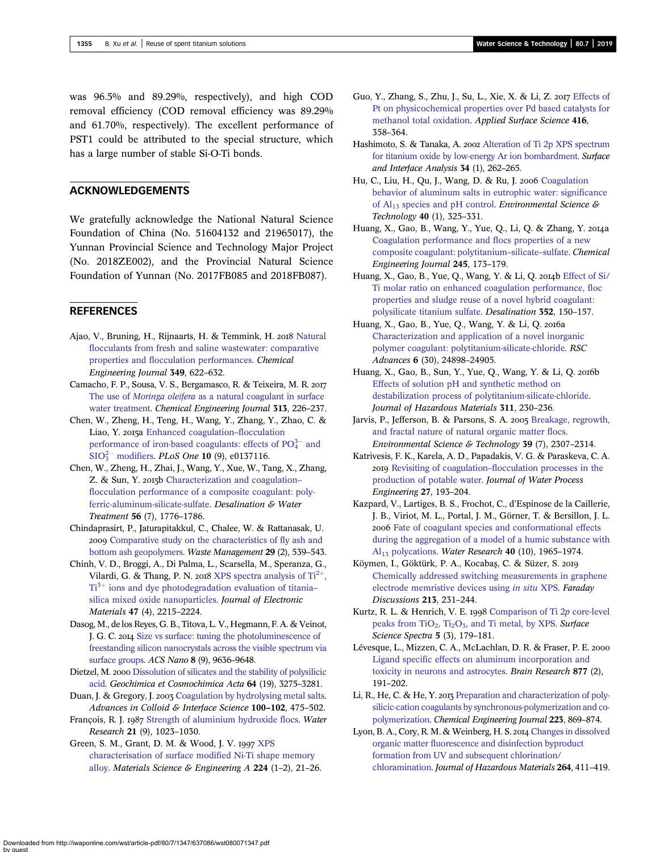<span id="page-8-0"></span>was 96.5% and 89.29%, respectively), and high COD removal efficiency (COD removal efficiency was 89.29% and 61.70%, respectively). The excellent performance of PST1 could be attributed to the special structure, which has a large number of stable Si-O-Ti bonds.

## ACKNOWLEDGEMENTS

We gratefully acknowledge the National Natural Science Foundation of China (No. 51604132 and 21965017), the Yunnan Provincial Science and Technology Major Project (No. 2018ZE002), and the Provincial Natural Science Foundation of Yunnan (No. 2017FB085 and 2018FB087).

## **REFERENCES**

- Ajao, V., Bruning, H., Rijnaarts, H. & Temmink, H. 2018 [Natural](http://dx.doi.org/10.1016/j.cej.2018.05.123) [flocculants from fresh and saline wastewater: comparative](http://dx.doi.org/10.1016/j.cej.2018.05.123) [properties and flocculation performances](http://dx.doi.org/10.1016/j.cej.2018.05.123). Chemical Engineering Journal 349, 622–632.
- Camacho, F. P., Sousa, V. S., Bergamasco, R. & Teixeira, M. R. The use of *Moringa oleifera* [as a natural coagulant in surface](http://dx.doi.org/10.1016/j.cej.2016.12.031) [water treatment.](http://dx.doi.org/10.1016/j.cej.2016.12.031) Chemical Engineering Journal 313, 226–237.
- Chen, W., Zheng, H., Teng, H., Wang, Y., Zhang, Y., Zhao, C. & Liao, Y. 2015a [Enhanced coagulation](http://dx.doi.org/10.1371/journal.pone.0137116)-flocculation performance of iron-based coagulants: effects of  $PO_4^{3-}$  $PO_4^{3-}$  $PO_4^{3-}$  [and](http://dx.doi.org/10.1371/journal.pone.0137116)  $SIO<sub>3</sub><sup>2-</sup>$  $SIO<sub>3</sub><sup>2-</sup>$  $SIO<sub>3</sub><sup>2-</sup>$  [modifiers.](http://dx.doi.org/10.1371/journal.pone.0137116) *PLoS One* **10** (9), e0137116.
- Chen, W., Zheng, H., Zhai, J., Wang, Y., Xue, W., Tang, X., Zhang, Z. & Sun, Y. 2015b [Characterization and coagulation](http://dx.doi.org/10.1080/19443994.2014.958109)– [flocculation performance of a composite coagulant: poly](http://dx.doi.org/10.1080/19443994.2014.958109)[ferric-aluminum-silicate-sulfate](http://dx.doi.org/10.1080/19443994.2014.958109). Desalination & Water Treatment 56 (7), 1776–1786.
- Chindaprasirt, P., Jaturapitakkul, C., Chalee, W. & Rattanasak, U. 2009 [Comparative study on the characteristics of fly ash and](http://dx.doi.org/10.1016/j.wasman.2008.06.023) [bottom ash geopolymers.](http://dx.doi.org/10.1016/j.wasman.2008.06.023) Waste Management 29 (2), 539–543.
- Chinh, V. D., Broggi, A., Di Palma, L., Scarsella, M., Speranza, G., Vilardi, G. & Thang, P. N. 2018 [XPS](http://dx.doi.org/10.1007/s11664-017-6036-1) [spectra](http://dx.doi.org/10.1007/s11664-017-6036-1) [analysis](http://dx.doi.org/10.1007/s11664-017-6036-1) [of](http://dx.doi.org/10.1007/s11664-017-6036-1)  $Ti^{2+}$ [,](http://dx.doi.org/10.1007/s11664-017-6036-1)  $Ti<sup>3+</sup>$  [ions and dye photodegradation evaluation of titania](http://dx.doi.org/10.1007/s11664-017-6036-1)– [silica mixed oxide nanoparticles.](http://dx.doi.org/10.1007/s11664-017-6036-1) Journal of Electronic Materials 47 (4), 2215–2224.
- Dasog, M., de los Reyes, G. B., Titova, L. V., Hegmann, F. A. & Veinot, J. G. C. 2014 [Size vs surface: tuning the photoluminescence of](http://dx.doi.org/10.1021/nn504109a) [freestanding silicon nanocrystals across the visible spectrum via](http://dx.doi.org/10.1021/nn504109a) [surface groups.](http://dx.doi.org/10.1021/nn504109a) ACS Nano 8 (9), 9636–9648.
- Dietzel, M. 2000 [Dissolution of silicates and the stability of polysilicic](http://dx.doi.org/10.1016/S0016-7037(00)00426-9) [acid](http://dx.doi.org/10.1016/S0016-7037(00)00426-9). Geochimica et Cosmochimica Acta 64 (19), 3275–3281.
- Duan, J. & Gregory, J. 2003 [Coagulation by hydrolysing metal salts](http://dx.doi.org/10.1016/S0001-8686(02)00067-2). Advances in Colloid & Interface Science 100–102, 475–502.
- François, R. J. 1987 [Strength of aluminium hydroxide flocs.](http://dx.doi.org/10.1016/0043-1354(87)90023-6) Water Research 21 (9), 1023–1030.
- Green, S. M., Grant, D. M. & Wood, J. V. 1997 [XPS](http://dx.doi.org/10.1016/S0921-5093(96)10563-3) [characterisation of surface modified Ni-Ti shape memory](http://dx.doi.org/10.1016/S0921-5093(96)10563-3) [alloy](http://dx.doi.org/10.1016/S0921-5093(96)10563-3). Materials Science & Engineering  $A$  224 (1-2), 21-26.
- Guo, Y., Zhang, S., Zhu, J., Su, L., Xie, X. & Li, Z. 2017 [Effects of](http://dx.doi.org/10.1016/j.apsusc.2017.04.205) [Pt on physicochemical properties over Pd based catalysts for](http://dx.doi.org/10.1016/j.apsusc.2017.04.205) [methanol total oxidation](http://dx.doi.org/10.1016/j.apsusc.2017.04.205). Applied Surface Science 416, 358–364.
- Hashimoto, S. & Tanaka, A. 2002 [Alteration of Ti 2p XPS spectrum](http://dx.doi.org/10.1002/sia.1296) [for titanium oxide by low-energy Ar ion bombardment](http://dx.doi.org/10.1002/sia.1296). Surface and Interface Analysis 34 (1), 262–265.
- Hu, C., Liu, H., Qu, J., Wang, D. & Ru, J. 2006 [Coagulation](http://dx.doi.org/10.1021/es051423+) [behavior of aluminum salts in eutrophic water: significance](http://dx.doi.org/10.1021/es051423+) of  $Al_{13}$  [species and pH control.](http://dx.doi.org/10.1021/es051423+) Environmental Science & Technology 40 (1), 325–331.
- Huang, X., Gao, B., Wang, Y., Yue, Q., Li, Q. & Zhang, Y. 2014a [Coagulation performance and flocs properties of a new](http://dx.doi.org/10.1016/j.cej.2014.02.018) [composite coagulant: polytitanium](http://dx.doi.org/10.1016/j.cej.2014.02.018)–silicate–sulfate. Chemical Engineering Journal 245, 173–179.
- Huang, X., Gao, B., Yue, Q., Wang, Y. & Li, Q. 2014b [Effect of Si/](http://dx.doi.org/10.1016/j.desal.2014.08.021) [Ti molar ratio on enhanced coagulation performance, floc](http://dx.doi.org/10.1016/j.desal.2014.08.021) [properties and sludge reuse of a novel hybrid coagulant:](http://dx.doi.org/10.1016/j.desal.2014.08.021) [polysilicate titanium sulfate](http://dx.doi.org/10.1016/j.desal.2014.08.021). Desalination 352, 150–157.
- Huang, X., Gao, B., Yue, Q., Wang, Y. & Li, Q. 2016a [Characterization and application of a novel inorganic](http://dx.doi.org/10.1039/C6RA01333C) [polymer coagulant: polytitanium-silicate-chloride.](http://dx.doi.org/10.1039/C6RA01333C) RSC Advances 6 (30), 24898–24905.
- Huang, X., Gao, B., Sun, Y., Yue, Q., Wang, Y. & Li, Q. b [Effects of solution pH and synthetic method on](http://dx.doi.org/10.1016/j.jhazmat.2016.03.021) [destabilization process of polytitanium-silicate-chloride](http://dx.doi.org/10.1016/j.jhazmat.2016.03.021). Journal of Hazardous Materials 311, 230–236.
- Jarvis, P., Jefferson, B. & Parsons, S. A. 2005 [Breakage, regrowth,](http://dx.doi.org/10.1021/es048854x) [and fractal nature of natural organic matter flocs](http://dx.doi.org/10.1021/es048854x). Environmental Science & Technology 39 (7), 2307–2314.
- Katrivesis, F. K., Karela, A. D., Papadakis, V. G. & Paraskeva, C. A. zorg Revisiting of coagulation–[flocculation processes in the](http://dx.doi.org/10.1016/j.jwpe.2018.12.007) [production of potable water](http://dx.doi.org/10.1016/j.jwpe.2018.12.007). Journal of Water Process Engineering 27, 193–204.
- Kazpard, V., Lartiges, B. S., Frochot, C., d'Espinose de la Caillerie, J. B., Viriot, M. L., Portal, J. M., Görner, T. & Bersillon, J. L. [Fate of coagulant species and conformational effects](http://dx.doi.org/10.1016/j.watres.2006.03.014) [during the aggregation of a model of a humic substance with](http://dx.doi.org/10.1016/j.watres.2006.03.014)  $Al<sub>13</sub>$  [polycations.](http://dx.doi.org/10.1016/j.watres.2006.03.014) Water Research 40 (10), 1965–1974.
- Köymen, I., Göktürk, P. A., Kocabaş, C. & Süzer, S. 2019 [Chemically addressed switching measurements in graphene](http://dx.doi.org/10.1039/C8FD00129D) [electrode memristive devices using](http://dx.doi.org/10.1039/C8FD00129D) in situ XPS. Faraday Discussions 213, 231–244.
- Kurtz, R. L. & Henrich, V. E. 1998 [Comparison of Ti 2](http://dx.doi.org/10.1116/1.1247874)p core-level peaks from  $TiO<sub>2</sub>$ ,  $Ti<sub>2</sub>O<sub>3</sub>$ , and Ti metal, by XPS. Surface Science Spectra 5 (3), 179–181.
- Lévesque, L., Mizzen, C. A., McLachlan, D. R. & Fraser, P. E. [Ligand specific effects on aluminum incorporation and](http://dx.doi.org/10.1016/S0006-8993(00)02637-8) [toxicity in neurons and astrocytes](http://dx.doi.org/10.1016/S0006-8993(00)02637-8). Brain Research 877 (2), 191–202.
- Li, R., He, C. & He, Y. 2013 [Preparation and characterization of poly](http://dx.doi.org/10.1016/j.cej.2013.03.010)[silicic-cation coagulants by synchronous-polymerization and co](http://dx.doi.org/10.1016/j.cej.2013.03.010)[polymerization](http://dx.doi.org/10.1016/j.cej.2013.03.010). Chemical Engineering Journal 223, 869–874.
- Lyon, B. A., Cory, R. M. & Weinberg, H. S. 2014 [Changes in dissolved](http://dx.doi.org/10.1016/j.jhazmat.2013.10.065) [organic matter fluorescence and disinfection byproduct](http://dx.doi.org/10.1016/j.jhazmat.2013.10.065) [formation from UV and subsequent chlorination/](http://dx.doi.org/10.1016/j.jhazmat.2013.10.065) [chloramination](http://dx.doi.org/10.1016/j.jhazmat.2013.10.065). Journal of Hazardous Materials 264, 411–419.